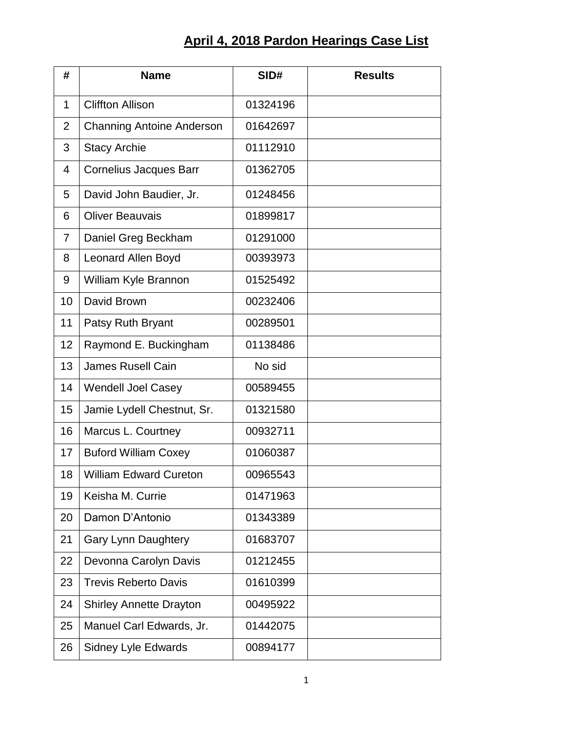## **April 4, 2018 Pardon Hearings Case List**

| #              | <b>Name</b>                      | SID#     | <b>Results</b> |
|----------------|----------------------------------|----------|----------------|
| $\mathbf 1$    | <b>Cliffton Allison</b>          | 01324196 |                |
| $\overline{2}$ | <b>Channing Antoine Anderson</b> | 01642697 |                |
| 3              | <b>Stacy Archie</b>              | 01112910 |                |
| $\overline{4}$ | Cornelius Jacques Barr           | 01362705 |                |
| 5              | David John Baudier, Jr.          | 01248456 |                |
| 6              | <b>Oliver Beauvais</b>           | 01899817 |                |
| $\overline{7}$ | Daniel Greg Beckham              | 01291000 |                |
| 8              | Leonard Allen Boyd               | 00393973 |                |
| 9              | William Kyle Brannon             | 01525492 |                |
| 10             | David Brown                      | 00232406 |                |
| 11             | Patsy Ruth Bryant                | 00289501 |                |
| 12             | Raymond E. Buckingham            | 01138486 |                |
| 13             | <b>James Rusell Cain</b>         | No sid   |                |
| 14             | <b>Wendell Joel Casey</b>        | 00589455 |                |
| 15             | Jamie Lydell Chestnut, Sr.       | 01321580 |                |
| 16             | Marcus L. Courtney               | 00932711 |                |
| 17             | <b>Buford William Coxey</b>      | 01060387 |                |
| 18             | <b>William Edward Cureton</b>    | 00965543 |                |
| 19             | Keisha M. Currie                 | 01471963 |                |
| 20             | Damon D'Antonio                  | 01343389 |                |
| 21             | <b>Gary Lynn Daughtery</b>       | 01683707 |                |
| 22             | Devonna Carolyn Davis            | 01212455 |                |
| 23             | <b>Trevis Reberto Davis</b>      | 01610399 |                |
| 24             | <b>Shirley Annette Drayton</b>   | 00495922 |                |
| 25             | Manuel Carl Edwards, Jr.         | 01442075 |                |
| 26             | <b>Sidney Lyle Edwards</b>       | 00894177 |                |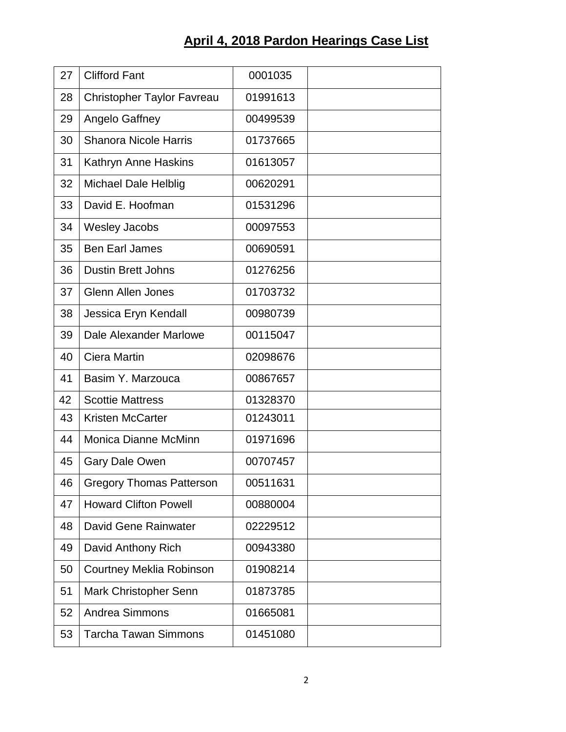## **April 4, 2018 Pardon Hearings Case List**

| 27 | <b>Clifford Fant</b>              | 0001035  |  |
|----|-----------------------------------|----------|--|
| 28 | <b>Christopher Taylor Favreau</b> | 01991613 |  |
| 29 | Angelo Gaffney                    | 00499539 |  |
| 30 | <b>Shanora Nicole Harris</b>      | 01737665 |  |
| 31 | Kathryn Anne Haskins              | 01613057 |  |
| 32 | Michael Dale Helblig              | 00620291 |  |
| 33 | David E. Hoofman                  | 01531296 |  |
| 34 | <b>Wesley Jacobs</b>              | 00097553 |  |
| 35 | <b>Ben Earl James</b>             | 00690591 |  |
| 36 | <b>Dustin Brett Johns</b>         | 01276256 |  |
| 37 | <b>Glenn Allen Jones</b>          | 01703732 |  |
| 38 | Jessica Eryn Kendall              | 00980739 |  |
| 39 | Dale Alexander Marlowe            | 00115047 |  |
| 40 | Ciera Martin                      | 02098676 |  |
| 41 | Basim Y. Marzouca                 | 00867657 |  |
| 42 | <b>Scottie Mattress</b>           | 01328370 |  |
| 43 | <b>Kristen McCarter</b>           | 01243011 |  |
| 44 | Monica Dianne McMinn              | 01971696 |  |
| 45 | <b>Gary Dale Owen</b>             | 00707457 |  |
| 46 | <b>Gregory Thomas Patterson</b>   | 00511631 |  |
| 47 | <b>Howard Clifton Powell</b>      | 00880004 |  |
| 48 | David Gene Rainwater              | 02229512 |  |
| 49 | David Anthony Rich                | 00943380 |  |
| 50 | <b>Courtney Meklia Robinson</b>   | 01908214 |  |
| 51 | Mark Christopher Senn             | 01873785 |  |
| 52 | <b>Andrea Simmons</b>             | 01665081 |  |
| 53 | <b>Tarcha Tawan Simmons</b>       | 01451080 |  |